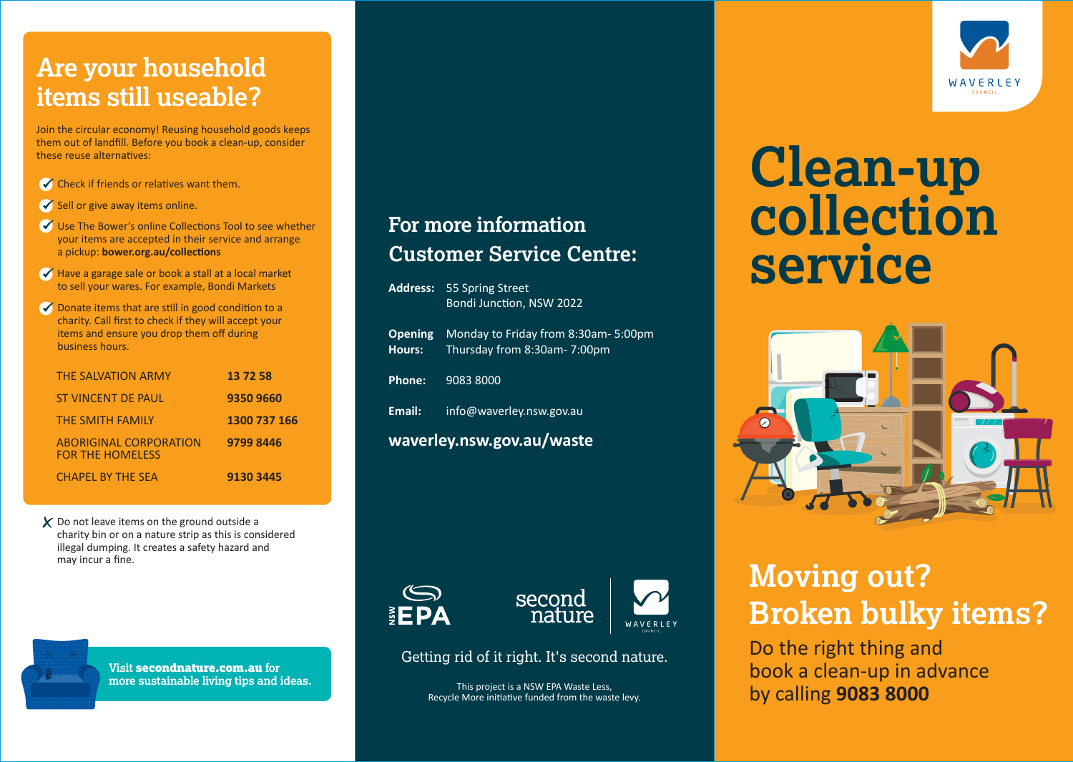# **Are your household items still useable?**

Join the circular economy! Reusing household goods keeps them out of landfill. Before you book a clean-up, consider these reuse alternatives:

- $\blacklozenge$  Check if friends or relatives want them.
- $\triangle$  Sell or give away items online.
- Use The Bower's online Collections Tool to see whether your items are accepted in their service and arrange a pickup: **bower.org.au/collections**
- $\blacktriangledown$  Have a garage sale or book a stall at a local market to sell your wares. For example, Bondi Markets
- ◆ Donate items that are still in good condition to a charity. Call first to check if they will accept your items and ensure you drop them off during business hours.

| <b>THE SALVATION ARMY</b>                                | 13 72 58     |
|----------------------------------------------------------|--------------|
| <b>ST VINCENT DE PAUL</b>                                | 9350 9660    |
| <b>THE SMITH FAMILY</b>                                  | 1300 737 166 |
| <b>ABORIGINAL CORPORATION</b><br><b>FOR THE HOMELESS</b> | 9799 8446    |
| <b>CHAPEL BY THE SEA</b>                                 | 9130 3445    |

 $\boldsymbol{\chi}$  Do not leave items on the ground outside a charity bin or on a nature strip as this is considered illegal dumping. It creates a safety hazard and may incur a fine.

#### **For more information Customer Service Centre:**

|                           | <b>Address: 55 Spring Street</b><br>Bondi Junction, NSW 2022        |  |
|---------------------------|---------------------------------------------------------------------|--|
| <b>Opening</b><br>Hours:  | Monday to Friday from 8:30am- 5:00pm<br>Thursday from 8:30am-7:00pm |  |
| Phone:                    | 9083 8000                                                           |  |
| Email:                    | info@waverley.nsw.gov.au                                            |  |
| waverley.nsw.gov.au/waste |                                                                     |  |





Getting rid of it right. It's second nature.

This project is a NSW EPA Waste Less, Recycle More initiative funded from the waste levy.

# **Clean-up collection service**



# **Moving out? Broken bulky items?**

Do the right thing and book a clean-up in advance by calling **9083 8000**



**Visit** secondnature.com.au **for more sustainable living tips and ideas.** **WAVERIEY**